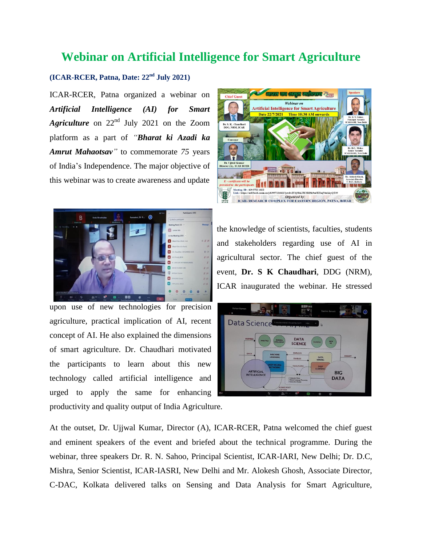## **Webinar on Artificial Intelligence for Smart Agriculture**

## **(ICAR-RCER, Patna, Date: 22nd July 2021)**

ICAR-RCER, Patna organized a webinar on *Artificial Intelligence (AI) for Smart Agriculture* on 22nd July 2021 on the Zoom platform as a part of *"Bharat ki Azadi ka Amrut Mahaotsav"* to commemorate *75* years of India's Independence. The major objective of this webinar was to create awareness and update





upon use of new technologies for precision agriculture, practical implication of AI, recent concept of AI. He also explained the dimensions of smart agriculture. Dr. Chaudhari motivated the participants to learn about this new technology called artificial intelligence and urged to apply the same for enhancing productivity and quality output of India Agriculture.

the knowledge of scientists, faculties, students and stakeholders regarding use of AI in agricultural sector. The chief guest of the event, **Dr. S K Chaudhari**, DDG (NRM), ICAR inaugurated the webinar. He stressed



At the outset, Dr. Ujjwal Kumar, Director (A), ICAR-RCER, Patna welcomed the chief guest and eminent speakers of the event and briefed about the technical programme. During the webinar, three speakers Dr. R. N. Sahoo, Principal Scientist, ICAR-IARI, New Delhi; Dr. D.C, Mishra, Senior Scientist, ICAR-IASRI, New Delhi and Mr. Alokesh Ghosh, Associate Director, C-DAC, Kolkata delivered talks on Sensing and Data Analysis for Smart Agriculture,